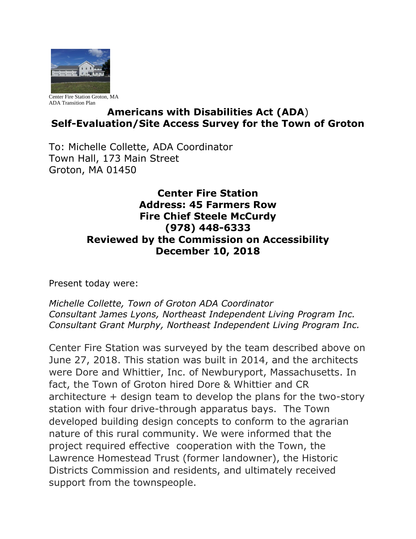

Center Fire Station Groton, MA ADA Transition Plan

## **Americans with Disabilities Act (ADA**) **Self-Evaluation/Site Access Survey for the Town of Groton**

To: Michelle Collette, ADA Coordinator Town Hall, 173 Main Street Groton, MA 01450

## **Center Fire Station Address: 45 Farmers Row Fire Chief Steele McCurdy (978) 448-6333 Reviewed by the Commission on Accessibility December 10, 2018**

Present today were:

*Michelle Collette, Town of Groton ADA Coordinator Consultant James Lyons, Northeast Independent Living Program Inc. Consultant Grant Murphy, Northeast Independent Living Program Inc.*

Center Fire Station was surveyed by the team described above on June 27, 2018. This station was built in 2014, and the architects were Dore and Whittier, Inc. of Newburyport, Massachusetts. In fact, the Town of Groton hired Dore & Whittier and CR architecture + design team to develop the plans for the two-story station with four drive-through apparatus bays. The Town developed building design concepts to conform to the agrarian nature of this rural community. We were informed that the project required effective cooperation with the Town, the Lawrence Homestead Trust (former landowner), the Historic Districts Commission and residents, and ultimately received support from the townspeople.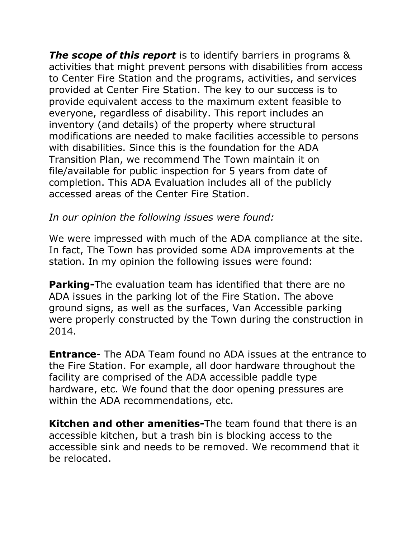*The scope of this report* is to identify barriers in programs & activities that might prevent persons with disabilities from access to Center Fire Station and the programs, activities, and services provided at Center Fire Station. The key to our success is to provide equivalent access to the maximum extent feasible to everyone, regardless of disability. This report includes an inventory (and details) of the property where structural modifications are needed to make facilities accessible to persons with disabilities. Since this is the foundation for the ADA Transition Plan, we recommend The Town maintain it on file/available for public inspection for 5 years from date of completion. This ADA Evaluation includes all of the publicly accessed areas of the Center Fire Station.

## *In our opinion the following issues were found:*

We were impressed with much of the ADA compliance at the site. In fact, The Town has provided some ADA improvements at the station. In my opinion the following issues were found:

**Parking-**The evaluation team has identified that there are no ADA issues in the parking lot of the Fire Station. The above ground signs, as well as the surfaces, Van Accessible parking were properly constructed by the Town during the construction in 2014.

**Entrance**- The ADA Team found no ADA issues at the entrance to the Fire Station. For example, all door hardware throughout the facility are comprised of the ADA accessible paddle type hardware, etc. We found that the door opening pressures are within the ADA recommendations, etc.

**Kitchen and other amenities-**The team found that there is an accessible kitchen, but a trash bin is blocking access to the accessible sink and needs to be removed. We recommend that it be relocated.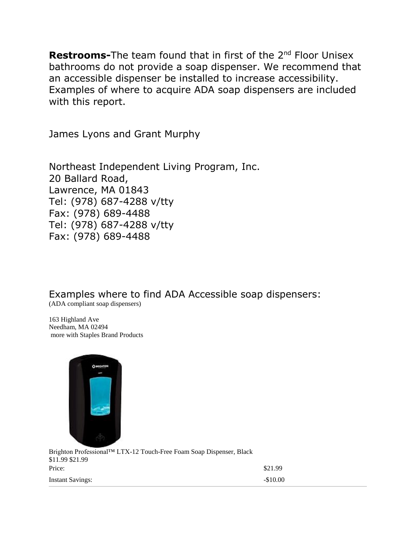**Restrooms-**The team found that in first of the 2<sup>nd</sup> Floor Unisex bathrooms do not provide a soap dispenser. We recommend that an accessible dispenser be installed to increase accessibility. Examples of where to acquire ADA soap dispensers are included with this report.

James Lyons and Grant Murphy

Northeast Independent Living Program, Inc. 20 Ballard Road, Lawrence, MA 01843 Tel: (978) 687-4288 v/tty Fax: (978) 689-4488 Tel: (978) 687-4288 v/tty Fax: (978) 689-4488

Examples where to find ADA Accessible soap dispensers:

(ADA compliant soap dispensers)

163 Highland Ave Needham, MA 02494 more with Staples Brand Products



[Brighton Professional™ LTX-12 Touch-Free Foam Soap Dispenser, Black](https://www.staples.com/Brighton-Professional-LTX-12-Touch-Free-Foam-Soap-Dispenser-Black/product_400103)  \$11.99 \$21.99 **Price:** \$21.99 Instant Savings:  $-10.00$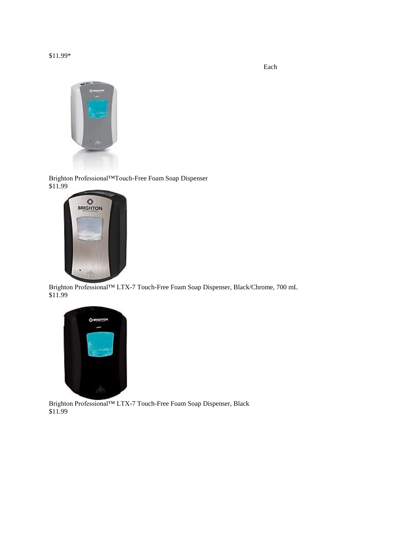Each



[Brighton Professional™Touch-Free Foam Soap Dispenser](https://www.staples.com/Brighton-Professional-Touch-Free-Foam-Soap-Dispenser/product_375448)  \$11.99



[Brighton Professional™ LTX-7 Touch-Free Foam Soap Dispenser, Black/Chrome, 700 mL](https://www.staples.com/Brighton-Professional-LTX-7-Black-Chrome-Touch-Free-Foam-Soap-Dispenser-Each-22857-CC/product_458982)  \$11.99



[Brighton Professional™ LTX-7 Touch-Free Foam Soap Dispenser, Black](https://www.staples.com/Brighton-Professional-LTX-7-Touch-Free-Foam-Soap-Dispenser-Black/product_400104)  \$11.99